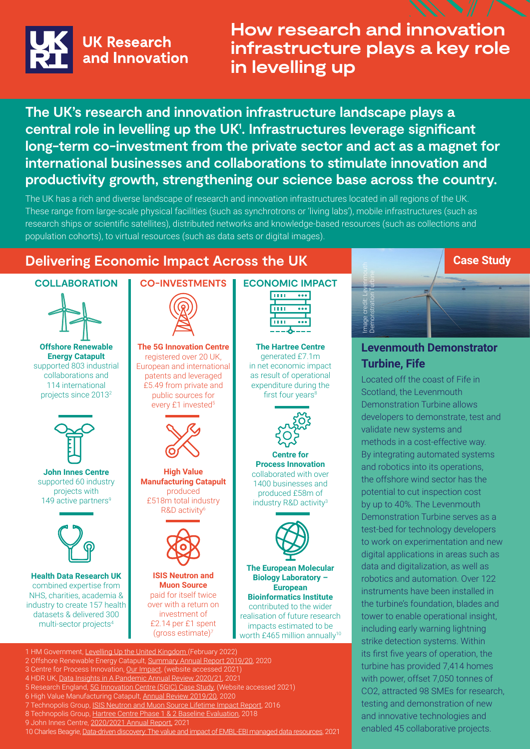

# **How research and innovation infrastructure plays a key role in levelling up**

**The UK's research and innovation infrastructure landscape plays a central role in levelling up the UK1 . Infrastructures leverage significant long-term co-investment from the private sector and act as a magnet for international businesses and collaborations to stimulate innovation and productivity growth, strengthening our science base across the country.**

The UK has a rich and diverse landscape of research and innovation infrastructures located in all regions of the UK. These range from large-scale physical facilities (such as synchrotrons or 'living labs'), mobile infrastructures (such as research ships or scientific satellites), distributed networks and knowledge-based resources (such as collections and population cohorts), to virtual resources (such as data sets or digital images).

# **Delivering Economic Impact Across the UK**

#### **COLLABORATION**



**Offshore Renewable Energy Catapult** supported 803 industrial collaborations and 114 international projects since 20132



**John Innes Centre** supported 60 industry projects with 149 active partners<sup>9</sup>



**Health Data Research UK** combined expertise from NHS, charities, academia & industry to create 157 health datasets & delivered 300 multi-sector projects4

# **CO-INVESTMENTS**



**The 5G Innovation Centre**  registered over 20 UK, European and international patents and leveraged £5.49 from private and public sources for every £1 invested<sup>5</sup>



**High Value Manufacturing Catapult** produced £518m total industry R&D activity<sup>6</sup>



**ISIS Neutron and Muon Source** paid for itself twice over with a return on investment of £2.14 per £1 spent (gross estimate)7

#### **ECONOMIC IMPACT** THE  $\overline{\cdots}$ **TTTT**



**The Hartree Centre**  generated £7.1m in net economic impact as result of operational expenditure during the first four years<sup>8</sup>



**Centre for Process Innovation**  collaborated with over 1400 businesses and produced £58m of industry R&D activity3



**The European Molecular Biology Laboratory – European Bioinformatics Institute**  contributed to the wider realisation of future research impacts estimated to be

worth £465 million annually<sup>10</sup>



## **Levenmouth Demonstrator Turbine, Fife**

**Case Study**

Located off the coast of Fife in Scotland, the Levenmouth Demonstration Turbine allows developers to demonstrate, test and validate new systems and methods in a cost-effective way. By integrating automated systems and robotics into its operations, the offshore wind sector has the potential to cut inspection cost by up to 40%. The Levenmouth Demonstration Turbine serves as a test-bed for technology developers to work on experimentation and new digital applications in areas such as data and digitalization, as well as robotics and automation. Over 122 instruments have been installed in the turbine's foundation, blades and tower to enable operational insight, including early warning lightning strike detection systems. Within its first five years of operation, the turbine has provided 7,414 homes with power, offset 7,050 tonnes of CO2, attracted 98 SMEs for research, testing and demonstration of new and innovative technologies and Engine **Engine 26 collaborative projects. Example 16 contained Figure 16 contained 45 colland, the Levenmouth Demonstration Turbine allows developers to demonstrate, test a validate new systems and methods in a cost-effe** 

- 1 HM Government, [Levelling Up the United Kingdom](https://assets.publishing.service.gov.uk/government/uploads/system/uploads/attachment_data/file/1052060/Levelling_Up_White_Paper.pdf) (February 2022) 2 Offshore Renewable Energy Catapult, [Summary Annual Report 2019/20,](https://ore.catapult.org.uk/wp-content/uploads/2020/10/ORE-Catapult-Annual-Review-1920.pdf) 2020
- 3 Centre for Process Innovation, [Our Impact](https://www.uk-cpi.com/about/impact), (website accessed 2021)
- 4 HDR UK, [Data Insights in A Pandemic Annual Review 2020/21](https://www.hdruk.ac.uk/wp-content/uploads/2021/08/HDRUK_AnnualReview_2021-compressed.pdf), 2021
- 5 Research England, [5G Innovation Centre \(5GIC\) Case Study](https://re.ukri.org/funding/our-funds-overview/uk-research-partnership-investment-fund/case-studies/5g-innovation-centre-5gic-university-of-surrey/), (Website accessed 2021)
- 6 High Value Manufacturing Catapult, [Annual Review 2019/20](https://hvm.catapult.org.uk/HVM-annual-review-2019-2020.pdf), 2020
- 7 Technopolis Group, [ISIS Neutron and Muon Source Lifetime Impact Report,](https://stfc.ukri.org/files/isis-lifetime-impact-report-summary/) 2016
- 8 Technopolis Group, [Hartree Centre Phase 1 & 2 Baseline Evaluation](https://www.hartree.stfc.ac.uk/Pages/Hartree%20Centre%20Baseline%20Impact%20Evaluation%20Full%20Report.pdf), 2018

9 John Innes Centre, [2020/2021 Annual Report](https://www.jic.ac.uk/app/uploads/2022/01/JIC_REPORT_2020-21_FINAL.pdf), 2021

10 Charles Beagrie[, Data-driven discovery: The value and impact of EMBL-EBI managed data resources](https://www.embl.org/documents/wp-content/uploads/2021/10/EMBL-EBI-impact-report-2021.pdf), 2021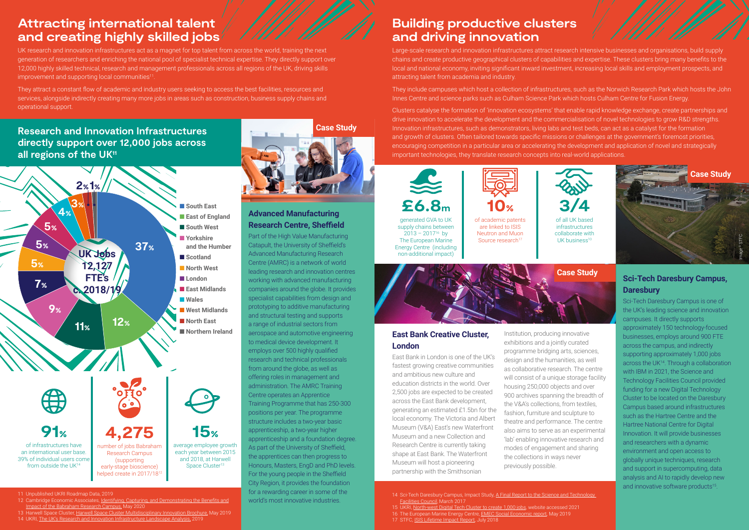# **Attracting international talent and creating highly skilled jobs**

UK research and innovation infrastructures act as a magnet for top talent from across the world, training the next generation of researchers and enriching the national pool of specialist technical expertise. They directly support over 12,000 highly skilled technical, research and management professionals across all regions of the UK, driving skills improvement and supporting local communities<sup>11</sup>

# **Building productive clusters and driving innovation**

- 12 Cambridge Economic Associates, [Identifying, Capturing, and Demonstrating the Benefits and](https://www.babraham.com/media/w32pgvlo/babraham-master-final-may-26th-2020.pdf) [Impact of the Babraham Research Campus,](https://www.babraham.com/media/w32pgvlo/babraham-master-final-may-26th-2020.pdf) May 2020
- 13 Harwell Space Cluster, [Harwell Space Cluster Multidisciplinary Innovation Brochure,](https://www.harwellcampus.com/wp-content/uploads/HAR5024-Space_Cluster_Brochure-v18.pdf) May 2019 14 UKRI[, The UK's Research and Innovation Infrastructure Landscape Analysis, 2019](https://www.ukri.org/wp-content/uploads/2020/10/UKRI-201020-LandscapeAnalysis-FINAL.pdf )

They attract a constant flow of academic and industry users seeking to access the best facilities, resources and services, alongside indirectly creating many more jobs in areas such as construction, business supply chains and operational support.

11 Unpublished UKRI Roadmap Data, 2019

of academic patents are linked to ISIS Neutron and Muon Source research<sup>17</sup>



of all LIK based infrastructures collaborate with UK business $10$ 



# **Research and Innovation Infrastructures directly support over 12,000 jobs across**  all regions of the UK<sup>11</sup>

generated GVA to UK supply chains between  $2013 - 2017^{16}$  by The European Marine Energy Centre (including non-additional impact)



## **Advanced Manufacturing Research Centre, Sheffield**

Sci-Tech Daresbury Campus is one of the UK's leading science and innovation campuses. It directly supports approximately 150 technology-focused businesses, employs around 900 FTE across the campus, and indirectly supporting approximately 1,000 jobs across the UK<sup>14</sup>. Through a collaboration with IBM in 2021, the Science and Technology Facilities Council provided funding for a new Digital Technology Cluster to be located on the Daresbury Campus based around infrastructures such as the Hartree Centre and the Hartree National Centre for Digital Innovation. It will provide businesses and researchers with a dynamic environment and open access to globally unique techniques, research and support in supercomputing, data analysis and AI to rapidly develop new and innovative software products<sup>15</sup>.

Part of the High Value Manufacturing Catapult, the University of Sheffield's Advanced Manufacturing Research Centre (AMRC) is a network of world leading research and innovation centres working with advanced manufacturing companies around the globe. It provides specialist capabilities from design and prototyping to additive manufacturing and structural testing and supports a range of industrial sectors from aerospace and automotive engineering to medical device development. It employs over 500 highly qualified research and technical professionals from around the globe, as well as offering roles in management and administration. The AMRC Training Centre operates an Apprentice Training Programme that has 250-300 positions per year. The programme structure includes a two-year basic apprenticeship, a two-year higher apprenticeship and a foundation degree. As part of the University of Sheffield, the apprentices can then progress to Honours, Masters, EngD and PhD levels. For the young people in the Sheffield City Region, it provides the foundation for a rewarding career in some of the world's most innovative industries.

Large-scale research and innovation infrastructures attract research intensive businesses and organisations, build supply chains and create productive geographical clusters of capabilities and expertise. These clusters bring many benefits to the local and national economy, inviting significant inward investment, increasing local skills and employment prospects, and attracting talent from academia and industry.

They include campuses which host a collection of infrastructures, such as the Norwich Research Park which hosts the John Innes Centre and science parks such as Culham Science Park which hosts Culham Centre for Fusion Energy.



Clusters catalyse the formation of 'innovation ecosystems' that enable rapid knowledge exchange, create partnerships and drive innovation to accelerate the development and the commercialisation of novel technologies to grow R&D strengths. Innovation infrastructures, such as demonstrators, living labs and test beds, can act as a catalyst for the formation and growth of clusters. Often tailored towards specific missions or challenges at the government's foremost priorities, encouraging competition in a particular area or accelerating the development and application of novel and strategically important technologies, they translate research concepts into real-world applications.

### **Sci-Tech Daresbury Campus, Daresbury**

14 Sci-Tech Daresbury Campus, Impact Study, [A Final Report to the Science and Technology](https://stfc.ukri.org/files/dlcampusimpactstudy/)  [Facilities Council,](https://stfc.ukri.org/files/dlcampusimpactstudy/) March 2017

15 UKRI, [North-west Digital Tech Cluster to create 1,000 jobs](https://www.ukri.org/news/north-west-digital-tech-cluster-to-create-1000-jobs/), website accessed 2021

16 The European Marine Energy Centre, [EMEC Social Economic report](http://marine.gov.scot/sites/default/files/8._emec_socio-economic_report_rep659.pdf), May 2019

17 STFC, [ISIS Lifetime Impact Report,](https://stfc.ukri.org/files/isis-lifetime-impact-study/) July 2018



**Case Study**

### **East Bank Creative Cluster, London**

East Bank in London is one of the UK's fastest growing creative communities and ambitious new culture and education districts in the world. Over 2,500 jobs are expected to be created across the East Bank development, generating an estimated £1.5bn for the local economy. The Victoria and Albert Museum (V&A) East's new Waterfront Museum and a new Collection and Research Centre is currently taking shape at East Bank. The Waterfront Museum will host a pioneering partnership with the Smithsonian

Institution, producing innovative exhibitions and a jointly curated programme bridging arts, sciences, design and the humanities, as well as collaborative research. The centre will consist of a unique storage facility housing 250,000 objects and over 900 archives spanning the breadth of the V&A's collections, from textiles, fashion, furniture and sculpture to theatre and performance. The centre also aims to serve as an experimental 'lab' enabling innovative research and modes of engagement and sharing the collections in ways never previously possible.